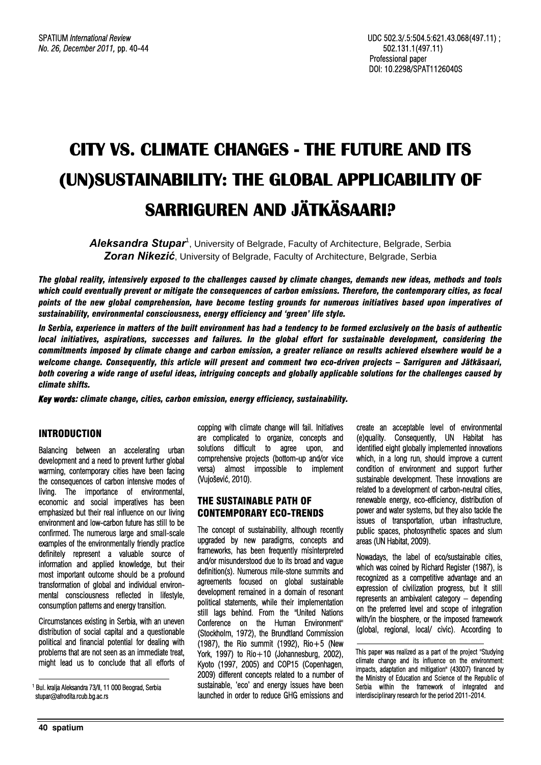# **CITY VS. CLIMATE CHANGES - THE FUTURE AND ITS (UN)SUSTAINABILITY: THE GLOBAL APPLICABILITY OF SARRIGUREN AND JÄTKÄSAARI?**

Aleksandra Stupar<sup>1</sup>, University of Belgrade, Faculty of Architecture, Belgrade, Serbia *Zoran Nikezić*, University of Belgrade, Faculty of Architecture, Belgrade, Serbia

*The global reality, intensively exposed to the challenges caused by climate changes, demands new ideas, methods and tools which could eventually prevent or mitigate the consequences of carbon emissions. Therefore, the contemporary cities, as focal points of the new global comprehension, have become testing grounds for numerous initiatives based upon imperatives of sustainability, environmental consciousness, energy efficiency and 'green' life style.* 

*In Serbia, experience in matters of the built environment has had a tendency to be formed exclusively on the basis of authentic local initiatives, aspirations, successes and failures. In the global effort for sustainable development, considering the commitments imposed by climate change and carbon emission, a greater reliance on results achieved elsewhere would be a welcome change. Consequently, this article will present and comment two eco-driven projects – Sarriguren and Jätkäsaari, both covering a wide range of useful ideas, intriguing concepts and globally applicable solutions for the challenges caused by climate shifts.* 

*Key words: climate change, cities, carbon emission, energy efficiency, sustainability.* 

# **INTRODUCTION**

Balancing between an accelerating urban development and a need to prevent further global warming, contemporary cities have been facing the consequences of carbon intensive modes of living. The importance of environmental, economic and social imperatives has been emphasized but their real influence on our living environment and low-carbon future has still to be confirmed. The numerous large and small-scale examples of the environmentally friendly practice definitely represent a valuable source of information and applied knowledge, but their most important outcome should be a profound transformation of global and individual environmental consciousness reflected in lifestyle, consumption patterns and energy transition.

Circumstances existing in Serbia, with an uneven distribution of social capital and a questionable political and financial potential for dealing with problems that are not seen as an immediate treat, might lead us to conclude that all efforts of

1 Bul. kralja Aleksandra 73/II, 11 000 Beograd, Serbia stupar@afrodita.rcub.bg.ac.rs

copping with climate change will fail. Initiatives are complicated to organize, concepts and solutions difficult to agree upon, and comprehensive projects (bottom-up and/or vice versa) almost impossible to implement (Vujošević, 2010).

## THE SUSTAINABLE PATH OF CONTEMPORARY ECO-TRENDS

The concept of sustainability, although recently upgraded by new paradigms, concepts and frameworks, has been frequently misinterpreted and/or misunderstood due to its broad and vague definition(s). Numerous mile-stone summits and agreements focused on global sustainable development remained in a domain of resonant political statements, while their implementation still lags behind. From the "United Nations Conference on the Human Environment" (Stockholm, 1972), the Brundtland Commission (1987), the Rio summit (1992), Rio+5 (New York, 1997) to  $\text{Rio}+10$  (Johannesburg, 2002), Kyoto (1997, 2005) and COP15 (Copenhagen, 2009) different concepts related to a number of sustainable, 'eco' and energy issues have been launched in order to reduce GHG emissions and

create an acceptable level of environmental (e)quality. Consequently, UN Habitat has identified eight globally implemented innovations which, in a long run, should improve a current condition of environment and support further sustainable development. These innovations are related to a development of carbon-neutral cities, renewable energy, eco-efficiency, distribution of power and water systems, but they also tackle the issues of transportation, urban infrastructure, public spaces, photosynthetic spaces and slum areas (UN Habitat, 2009).

Nowadays, the label of eco/sustainable cities, which was coined by Richard Register (1987), is recognized as a competitive advantage and an expression of civilization progress, but it still represents an ambivalent category – depending on the preferred level and scope of integration with/in the biosphere, or the imposed framework (global, regional, local/ civic). According to

This paper was realized as a part of the project "Studying climate change and its influence on the environment: impacts, adaptation and mitigation" (43007) financed by the Ministry of Education and Science of the Republic of Serbia within the framework of integrated and interdisciplinary research for the period 2011-2014.

l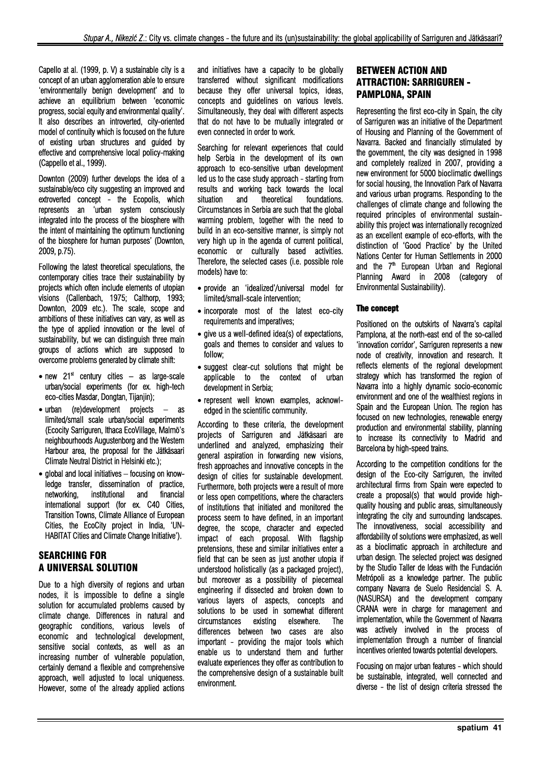Capello at al. (1999, p. V) a sustainable city is a concept of an urban agglomeration able to ensure 'environmentally benign development' and to achieve an equilibrium between 'economic progress, social equity and environmental quality'. It also describes an introverted, city-oriented model of continuity which is focused on the future of existing urban structures and guided by effective and comprehensive local policy-making (Cappello et al., 1999).

Downton (2009) further develops the idea of a sustainable/eco city suggesting an improved and extroverted concept - the Ecopolis, which represents an 'urban system consciously integrated into the process of the biosphere with the intent of maintaining the optimum functioning of the biosphere for human purposes' (Downton, 2009, p.75).

Following the latest theoretical speculations, the contemporary cities trace their sustainability by projects which often include elements of utopian visions (Callenbach, 1975; Calthorp, 1993; Downton, 2009 etc.). The scale, scope and ambitions of these initiatives can vary, as well as the type of applied innovation or the level of sustainability, but we can distinguish three main groups of actions which are supposed to overcome problems generated by climate shift:

- new  $21<sup>st</sup>$  century cities as large-scale urban/social experiments (for ex. high-tech eco-cities Masdar, Dongtan, Tijanjin);
- urban (re)development projects as limited/small scale urban/social experiments (Ecocity Sarriguren, Ithaca EcoVillage, Malmö's neighbourhoods Augustenborg and the Western Harbour area, the proposal for the Jätkäsaari Climate Neutral District in Helsinki etc.);
- global and local initiatives focusing on knowledge transfer, dissemination of practice, networking, institutional and financial international support (for ex. C40 Cities, Transition Towns, Climate Alliance of European Cities, the EcoCity project in India, 'UN-HABITAT Cities and Climate Change Initiative').

# SEARCHING FOR A UNIVERSAL SOLUTION

Due to a high diversity of regions and urban nodes, it is impossible to define a single solution for accumulated problems caused by climate change. Differences in natural and geographic conditions, various levels of economic and technological development, sensitive social contexts, as well as an increasing number of vulnerable population, certainly demand a flexible and comprehensive approach, well adjusted to local uniqueness. However, some of the already applied actions and initiatives have a capacity to be globally transferred without significant modifications because they offer universal topics, ideas, concepts and guidelines on various levels. Simultaneously, they deal with different aspects that do not have to be mutually integrated or even connected in order to work.

Searching for relevant experiences that could help Serbia in the development of its own approach to eco-sensitive urban development led us to the case study approach - starting from results and working back towards the local situation and theoretical foundations. Circumstances in Serbia are such that the global warming problem, together with the need to build in an eco-sensitive manner, is simply not very high up in the agenda of current political, economic or culturally based activities. Therefore, the selected cases (i.e. possible role models) have to:

- provide an 'idealized'/universal model for limited/small-scale intervention;
- incorporate most of the latest eco-city requirements and imperatives;
- give us a well-defined idea(s) of expectations, goals and themes to consider and values to follow;
- suggest clear-cut solutions that might be applicable to the context of urban development in Serbia;
- represent well known examples, acknowledged in the scientific community.

According to these criteria, the development projects of Sarriguren and Jätkäsaari are underlined and analyzed, emphasizing their general aspiration in forwarding new visions, fresh approaches and innovative concepts in the design of cities for sustainable development. Furthermore, both projects were a result of more or less open competitions, where the characters of institutions that initiated and monitored the process seem to have defined, in an important degree, the scope, character and expected impact of each proposal. With flagship pretensions, these and similar initiatives enter a field that can be seen as just another utopia if understood holistically (as a packaged project), but moreover as a possibility of piecemeal engineering if dissected and broken down to various layers of aspects, concepts and solutions to be used in somewhat different circumstances existing elsewhere. The differences between two cases are also important - providing the major tools which enable us to understand them and further evaluate experiences they offer as contribution to the comprehensive design of a sustainable built environment.

# BETWEEN ACTION AND ATTRACTION: SARRIGUREN - PAMPLONA, SPAIN

Representing the first eco-city in Spain, the city of Sarriguren was an initiative of the Department of Housing and Planning of the Government of Navarra. Backed and financially stimulated by the government, the city was designed in 1998 and completely realized in 2007, providing a new environment for 5000 bioclimatic dwellings for social housing, the Innovation Park of Navarra and various urban programs. Responding to the challenges of climate change and following the required principles of environmental sustainability this project was internationally recognized as an excellent example of eco-efforts, with the distinction of 'Good Practice' by the United Nations Center for Human Settlements in 2000 and the  $7<sup>th</sup>$  European Urban and Regional Planning Award in 2008 (category of Environmental Sustainability).

## The concept

Positioned on the outskirts of Navarra's capital Pamplona, at the north-east end of the so-called 'innovation corridor', Sarriguren represents a new node of creativity, innovation and research. It reflects elements of the regional development strategy which has transformed the region of Navarra into a highly dynamic socio-economic environment and one of the wealthiest regions in Spain and the European Union. The region has focused on new technologies, renewable energy production and environmental stability, planning to increase its connectivity to Madrid and Barcelona by high-speed trains.

According to the competition conditions for the design of the Eco-city Sarriguren, the invited architectural firms from Spain were expected to create a proposal(s) that would provide highquality housing and public areas, simultaneously integrating the city and surrounding landscapes. The innovativeness, social accessibility and affordability of solutions were emphasized, as well as a bioclimatic approach in architecture and urban design. The selected project was designed by the Studio Taller de Ideas with the Fundación Metrópoli as a knowledge partner. The public company Navarra de Suelo Residencial S. A. (NASURSA) and the development company CRANA were in charge for management and implementation, while the Government of Navarra was actively involved in the process of implementation through a number of financial incentives oriented towards potential developers.

Focusing on major urban features - which should be sustainable, integrated, well connected and diverse - the list of design criteria stressed the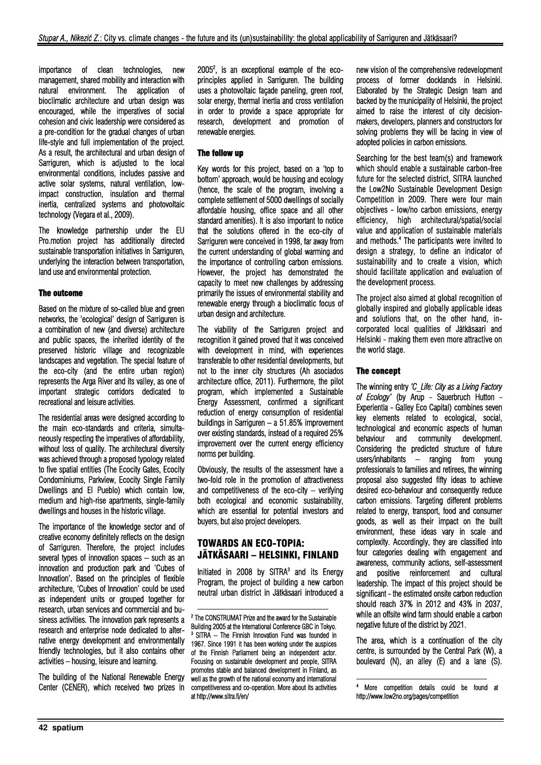importance of clean technologies, new management, shared mobility and interaction with natural environment. The application of bioclimatic architecture and urban design was encouraged, while the imperatives of social cohesion and civic leadership were considered as a pre-condition for the gradual changes of urban life-style and full implementation of the project. As a result, the architectural and urban design of Sarriguren, which is adjusted to the local environmental conditions, includes passive and active solar systems, natural ventilation, lowimpact construction, insulation and thermal inertia, centralized systems and photovoltaic technology (Vegara et al., 2009).

The knowledge partnership under the EU Pro.motion project has additionally directed sustainable transportation initiatives in Sarriguren, underlying the interaction between transportation, land use and environmental protection.

### The outcome

Based on the mixture of so-called blue and green networks, the 'ecological' design of Sarriguren is a combination of new (and diverse) architecture and public spaces, the inherited identity of the preserved historic village and recognizable landscapes and vegetation. The special feature of the eco-city (and the entire urban region) represents the Arga River and its valley, as one of important strategic corridors dedicated to recreational and leisure activities.

The residential areas were designed according to the main eco-standards and criteria, simultaneously respecting the imperatives of affordability, without loss of quality. The architectural diversity was achieved through a proposed typology related to five spatial entities (The Ecocity Gates, Ecocity Condominiums, Parkview, Ecocity Single Family Dwellings and El Pueblo) which contain low, medium and high-rise apartments, single-family dwellings and houses in the historic village.

The importance of the knowledge sector and of creative economy definitely reflects on the design of Sarriguren. Therefore, the project includes several types of innovation spaces – such as an innovation and production park and 'Cubes of Innovation'. Based on the principles of flexible architecture, 'Cubes of Innovation' could be used as independent units or grouped together for research, urban services and commercial and business activities. The innovation park represents a research and enterprise node dedicated to alternative energy development and environmentally friendly technologies, but it also contains other activities – housing, leisure and learning.

The building of the National Renewable Energy Center (CENER), which received two prizes in

20052 , is an exceptional example of the ecoprinciples applied in Sarriguren. The building uses a photovoltaic façade paneling, green roof, solar energy, thermal inertia and cross ventilation in order to provide a space appropriate for research, development and promotion of renewable energies.

#### The follow up

Key words for this project, based on a 'top to bottom' approach, would be housing and ecology (hence, the scale of the program, involving a complete settlement of 5000 dwellings of socially affordable housing, office space and all other standard amenities). It is also important to notice that the solutions offered in the eco-city of Sarriguren were conceived in 1998, far away from the current understanding of global warming and the importance of controlling carbon emissions. However, the project has demonstrated the capacity to meet new challenges by addressing primarily the issues of environmental stability and renewable energy through a bioclimatic focus of urban design and architecture.

The viability of the Sarriguren project and recognition it gained proved that it was conceived with development in mind, with experiences transferable to other residential developments, but not to the inner city structures (Ah asociados architecture office, 2011). Furthermore, the pilot program, which implemented a Sustainable Energy Assessment, confirmed a significant reduction of energy consumption of residential buildings in Sarriguren – a 51.85% improvement over existing standards, instead of a required 25% improvement over the current energy efficiency norms per building.

Obviously, the results of the assessment have a two-fold role in the promotion of attractiveness and competitiveness of the eco-city – verifying both ecological and economic sustainability, which are essential for potential investors and buyers, but also project developers.

# TOWARDS AN ECO-TOPIA: JÄTKÄSAARI – HELSINKI, FINLAND

Initiated in 2008 by SITRA $3$  and its Energy Program, the project of building a new carbon neutral urban district in Jätkäsaari introduced a

1

new vision of the comprehensive redevelopment process of former docklands in Helsinki. Elaborated by the Strategic Design team and backed by the municipality of Helsinki, the project aimed to raise the interest of city decisionmakers, developers, planners and constructors for solving problems they will be facing in view of adopted policies in carbon emissions.

Searching for the best team(s) and framework which should enable a sustainable carbon-free future for the selected district, SITRA launched the Low2No Sustainable Development Design Competition in 2009. There were four main objectives - low/no carbon emissions, energy efficiency, high architectural/spatial/social value and application of sustainable materials and methods.4 The participants were invited to design a strategy, to define an indicator of sustainability and to create a vision, which should facilitate application and evaluation of the development process.

The project also aimed at global recognition of globally inspired and globally applicable ideas and solutions that, on the other hand, incorporated local qualities of Jätkäsaari and Helsinki - making them even more attractive on the world stage.

#### The concept

The winning entry *'C\_Life: City as a Living Factory of Ecology'* (by Arup - Sauerbruch Hutton - Experientia - Galley Eco Capital) combines seven key elements related to ecological, social, technological and economic aspects of human behaviour and community development. Considering the predicted structure of future users/inhabitants – ranging from young professionals to families and retirees, the winning proposal also suggested fifty ideas to achieve desired eco-behaviour and consequently reduce carbon emissions. Targeting different problems related to energy, transport, food and consumer goods, as well as their impact on the built environment, these ideas vary in scale and complexity. Accordingly, they are classified into four categories dealing with engagement and awareness, community actions, self-assessment and positive reinforcement and cultural leadership. The impact of this project should be significant - the estimated onsite carbon reduction should reach 37% in 2012 and 43% in 2037, while an offsite wind farm should enable a carbon negative future of the district by 2021.

The area, which is a continuation of the city centre, is surrounded by the Central Park (W), a boulevard (N), an alley (E) and a lane (S).

1

<sup>2</sup> The CONSTRUMAT Prize and the award for the Sustainable Building 2005 at the International Conference GBC in Tokyo.<br><sup>3</sup> SITRA – The Finnish Innovation Fund was founded in 1967. Since 1991 it has been working under the auspices of the Finnish Parliament being an independent actor. Focusing on sustainable development and people, SITRA promotes stable and balanced development in Finland, as well as the growth of the national economy and international competitiveness and co-operation. More about its activities at http://www.sitra.fi/en/

<sup>4</sup> More competition details could be found at http://www.low2no.org/pages/competition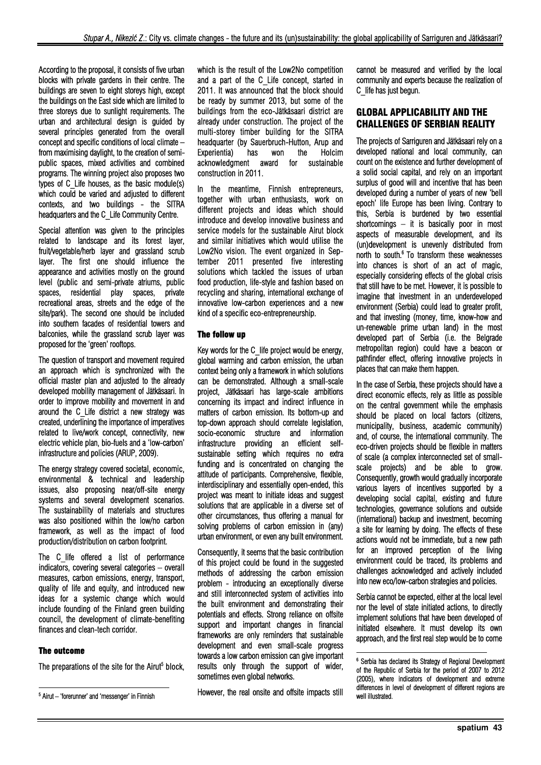According to the proposal, it consists of five urban blocks with private gardens in their centre. The buildings are seven to eight storeys high, except the buildings on the East side which are limited to three storeys due to sunlight requirements. The urban and architectural design is guided by several principles generated from the overall concept and specific conditions of local climate – from maximising daylight, to the creation of semipublic spaces, mixed activities and combined programs. The winning project also proposes two types of C\_Life houses, as the basic module(s) which could be varied and adjusted to different contexts, and two buildings - the SITRA headquarters and the C\_Life Community Centre.

Special attention was given to the principles related to landscape and its forest layer, fruit/vegetable/herb layer and grassland scrub layer. The first one should influence the appearance and activities mostly on the ground level (public and semi-private atriums, public spaces, residential play spaces, private recreational areas, streets and the edge of the site/park). The second one should be included into southern facades of residential towers and balconies, while the grassland scrub layer was proposed for the 'green' rooftops.

The question of transport and movement required an approach which is synchronized with the official master plan and adjusted to the already developed mobility management of Jätkäsaari. In order to improve mobility and movement in and around the C\_Life district a new strategy was created, underlining the importance of imperatives related to live/work concept, connectivity, new electric vehicle plan, bio-fuels and a 'low-carbon' infrastructure and policies (ARUP, 2009).

The energy strategy covered societal, economic, environmental & technical and leadership issues, also proposing near/off-site energy systems and several development scenarios. The sustainability of materials and structures was also positioned within the low/no carbon framework, as well as the impact of food production/distribution on carbon footprint.

The C life offered a list of performance indicators, covering several categories – overall measures, carbon emissions, energy, transport, quality of life and equity, and introduced new ideas for a systemic change which would include founding of the Finland green building council, the development of climate-benefiting finances and clean-tech corridor.

# The outcome

l

The preparations of the site for the Airut<sup>5</sup> block,

which is the result of the Low2No competition and a part of the C\_Life concept, started in 2011. It was announced that the block should be ready by summer 2013, but some of the buildings from the eco-Jätkäsaari district are already under construction. The project of the multi-storey timber building for the SITRA headquarter (by Sauerbruch-Hutton, Arup and Experientia) has won the Holcim acknowledgment award for sustainable construction in 2011.

In the meantime, Finnish entrepreneurs, together with urban enthusiasts, work on different projects and ideas which should introduce and develop innovative business and service models for the sustainable Airut block and similar initiatives which would utilise the Low2No vision. The event organized in September 2011 presented five interesting solutions which tackled the issues of urban food production, life-style and fashion based on recycling and sharing, international exchange of innovative low-carbon experiences and a new kind of a specific eco-entrepreneurship.

#### The follow up

Key words for the C\_life project would be energy, global warming and carbon emission, the urban context being only a framework in which solutions can be demonstrated. Although a small-scale project, Jätkäsaari has large-scale ambitions concerning its impact and indirect influence in matters of carbon emission. Its bottom-up and top-down approach should correlate legislation, socio-economic structure and information infrastructure providing an efficient selfsustainable setting which requires no extra funding and is concentrated on changing the attitude of participants. Comprehensive, flexible, interdisciplinary and essentially open-ended, this project was meant to initiate ideas and suggest solutions that are applicable in a diverse set of other circumstances, thus offering a manual for solving problems of carbon emission in (any) urban environment, or even any built environment.

Consequently, it seems that the basic contribution of this project could be found in the suggested methods of addressing the carbon emission problem - introducing an exceptionally diverse and still interconnected system of activities into the built environment and demonstrating their potentials and effects. Strong reliance on offsite support and important changes in financial frameworks are only reminders that sustainable development and even small-scale progress towards a low carbon emission can give important results only through the support of wider, sometimes even global networks.

However, the real onsite and offsite impacts still

cannot be measured and verified by the local community and experts because the realization of C\_life has just begun.

## GLOBAL APPLICABILITY AND THE CHALLENGES OF SERBIAN REALITY

The projects of Sarriguren and Jätkäsaari rely on a developed national and local community, can count on the existence and further development of a solid social capital, and rely on an important surplus of good will and incentive that has been developed during a number of years of new 'bell epoch' life Europe has been living. Contrary to this, Serbia is burdened by two essential shortcomings – it is basically poor in most aspects of measurable development, and its (un)development is unevenly distributed from north to south.<sup>6</sup> To transform these weaknesses into chances is short of an act of magic, especially considering effects of the global crisis that still have to be met. However, it is possible to imagine that investment in an underdeveloped environment (Serbia) could lead to greater profit, and that investing (money, time, know-how and un-renewable prime urban land) in the most developed part of Serbia (i.e. the Belgrade metropolitan region) could have a beacon or pathfinder effect, offering innovative projects in places that can make them happen.

In the case of Serbia, these projects should have a direct economic effects, rely as little as possible on the central government while the emphasis should be placed on local factors (citizens, municipality, business, academic community) and, of course, the international community. The eco-driven projects should be flexible in matters of scale (a complex interconnected set of smallscale projects) and be able to grow. Consequently, growth would gradually incorporate various layers of incentives supported by a developing social capital, existing and future technologies, governance solutions and outside (international) backup and investment, becoming a site for learning by doing. The effects of these actions would not be immediate, but a new path for an improved perception of the living environment could be traced, its problems and challenges acknowledged and actively included into new eco/low-carbon strategies and policies.

Serbia cannot be expected, either at the local level nor the level of state initiated actions, to directly implement solutions that have been developed of initiated elsewhere. It must develop its own approach, and the first real step would be to come

1

<sup>5</sup> Airut – 'forerunner' and 'messenger' in Finnish

<sup>6</sup> Serbia has declared its Strategy of Regional Development of the Republic of Serbia for the period of 2007 to 2012 (2005), where indicators of development and extreme differences in level of development of different regions are well illustrated.